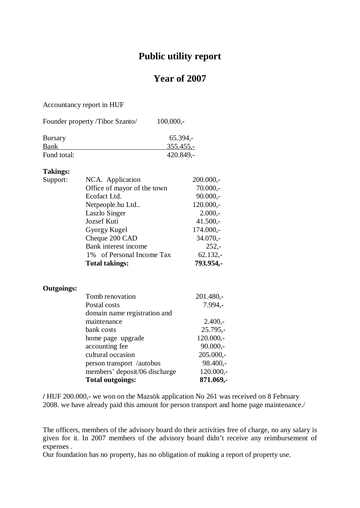## **Public utility report**

## **Year of 2007**

Accountancy report in HUF

| Founder property /Tibor Szanto/ | $100.000,-$ |
|---------------------------------|-------------|
| <b>Bursary</b>                  | $65.394 -$  |
| <b>Bank</b>                     | $355.455,-$ |
| Fund total:                     | $420.849,-$ |

## **Takings:**

| Support:          | NCA. Application              | $200.000,-$ |  |
|-------------------|-------------------------------|-------------|--|
|                   | Office of mayor of the town   | $70.000,-$  |  |
|                   | Ecofact Ltd.                  | $90.000,-$  |  |
|                   | Netpeople.hu Ltd              | $120.000,-$ |  |
|                   | Laszlo Singer                 | $2.000,-$   |  |
|                   | Jozsef Kuti                   | $41.500,-$  |  |
|                   | Gyorgy Kugel                  | $174.000,-$ |  |
|                   | Cheque 200 CAD                | $34.070,-$  |  |
|                   | Bank interest income          | $252,-$     |  |
|                   | 1% of Personal Income Tax     | $62.132,-$  |  |
|                   | <b>Total takings:</b>         | 793.954,-   |  |
|                   |                               |             |  |
|                   |                               |             |  |
| <b>Outgoings:</b> |                               |             |  |
|                   | Tomb renovation               | $201.480 -$ |  |
|                   | Postal costs                  | $7.994,-$   |  |
|                   | domain name registration and  |             |  |
|                   | maintenance                   | $2.400,-$   |  |
|                   | bank costs                    | $25.795,-$  |  |
|                   | home page upgrade             | $120.000,-$ |  |
|                   | accounting fee                | $90.000,-$  |  |
|                   | cultural occasion             | $205.000,-$ |  |
|                   | person transport /autobus     | $98.400,-$  |  |
|                   | members' deposit/06 discharge | $120.000,-$ |  |
|                   | <b>Total outgoings:</b>       | 871.069,-   |  |

**/** HUF 200.000,- we won on the Mazsök application No 261 was received on 8 February 2008. we have already paid this amount for person transport and home page maintenance./

The officers, members of the advisory board do their activities free of charge, no any salary is given for it. In 2007 members of the advisory board didn't receive any reimbursement of expenses .

Our foundation has no property, has no obligation of making a report of property use.